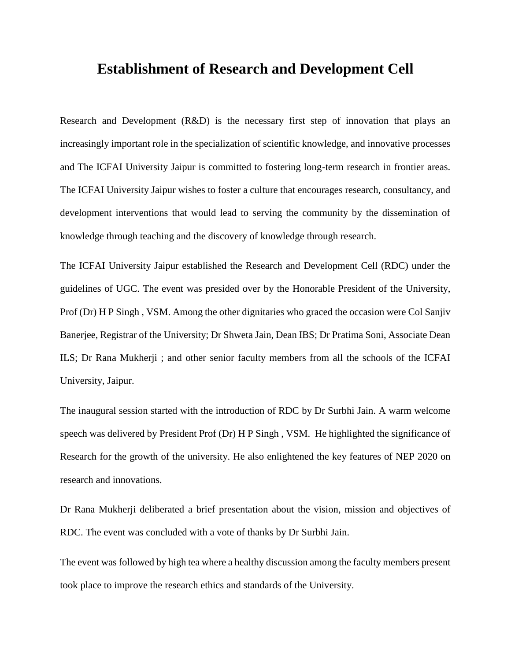## **Establishment of Research and Development Cell**

Research and Development (R&D) is the necessary first step of innovation that plays an increasingly important role in the specialization of scientific knowledge, and innovative processes and The ICFAI University Jaipur is committed to fostering long-term research in frontier areas. The ICFAI University Jaipur wishes to foster a culture that encourages research, consultancy, and development interventions that would lead to serving the community by the dissemination of knowledge through teaching and the discovery of knowledge through research.

The ICFAI University Jaipur established the Research and Development Cell (RDC) under the guidelines of UGC. The event was presided over by the Honorable President of the University, Prof (Dr) H P Singh , VSM. Among the other dignitaries who graced the occasion were Col Sanjiv Banerjee, Registrar of the University; Dr Shweta Jain, Dean IBS; Dr Pratima Soni, Associate Dean ILS; Dr Rana Mukherji ; and other senior faculty members from all the schools of the ICFAI University, Jaipur.

The inaugural session started with the introduction of RDC by Dr Surbhi Jain. A warm welcome speech was delivered by President Prof (Dr) H P Singh , VSM. He highlighted the significance of Research for the growth of the university. He also enlightened the key features of NEP 2020 on research and innovations.

Dr Rana Mukherji deliberated a brief presentation about the vision, mission and objectives of RDC. The event was concluded with a vote of thanks by Dr Surbhi Jain.

The event was followed by high tea where a healthy discussion among the faculty members present took place to improve the research ethics and standards of the University.